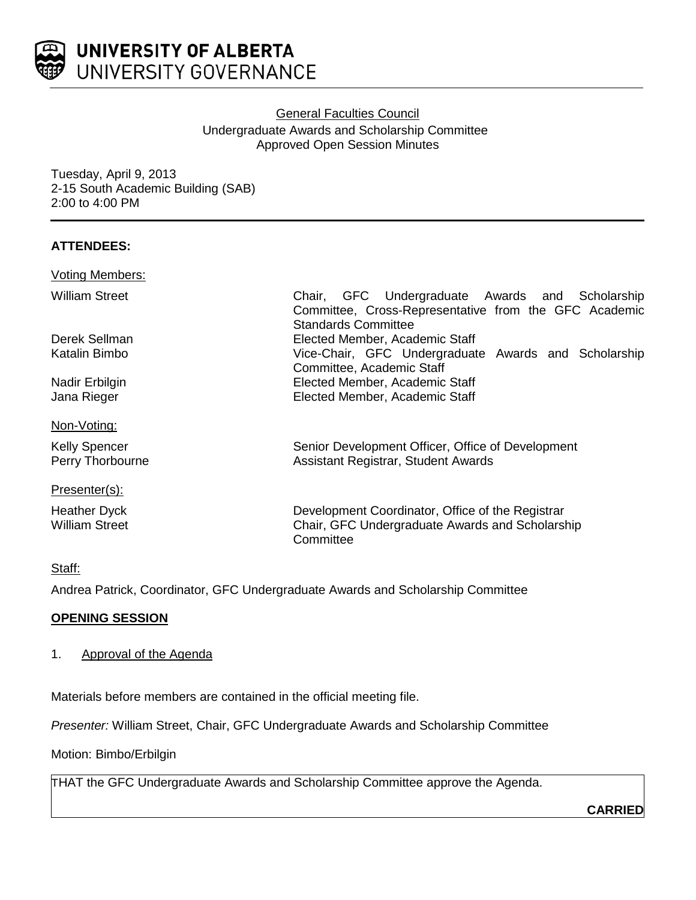

# General Faculties Council Undergraduate Awards and Scholarship Committee Approved Open Session Minutes

Tuesday, April 9, 2013 2-15 South Academic Building (SAB) 2:00 to 4:00 PM

# **ATTENDEES:**

| Chair, GFC Undergraduate Awards and Scholarship<br>Committee, Cross-Representative from the GFC Academic<br><b>Standards Committee</b> |
|----------------------------------------------------------------------------------------------------------------------------------------|
| Elected Member, Academic Staff                                                                                                         |
| Vice-Chair, GFC Undergraduate Awards and Scholarship                                                                                   |
| Committee, Academic Staff                                                                                                              |
| Elected Member, Academic Staff                                                                                                         |
| Elected Member, Academic Staff                                                                                                         |
|                                                                                                                                        |
| Senior Development Officer, Office of Development                                                                                      |
| Assistant Registrar, Student Awards                                                                                                    |
|                                                                                                                                        |
| Development Coordinator, Office of the Registrar<br>Chair, GFC Undergraduate Awards and Scholarship<br>Committee                       |
|                                                                                                                                        |

# Staff:

Andrea Patrick, Coordinator, GFC Undergraduate Awards and Scholarship Committee

# **OPENING SESSION**

1. Approval of the Agenda

Materials before members are contained in the official meeting file.

*Presenter:* William Street, Chair, GFC Undergraduate Awards and Scholarship Committee

Motion: Bimbo/Erbilgin

THAT the GFC Undergraduate Awards and Scholarship Committee approve the Agenda.

**CARRIED**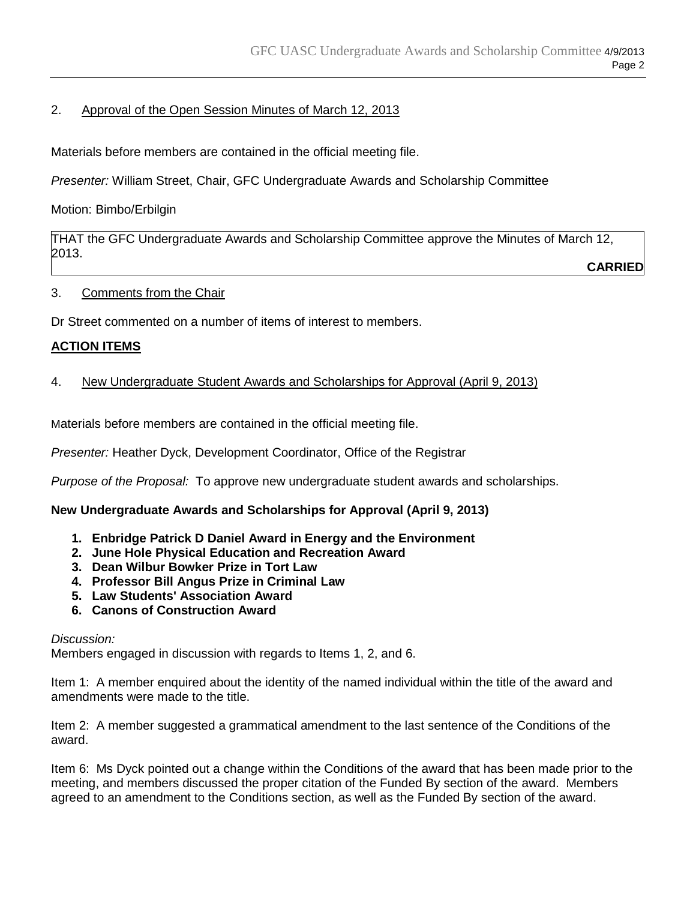# 2. Approval of the Open Session Minutes of March 12, 2013

Materials before members are contained in the official meeting file.

*Presenter:* William Street, Chair, GFC Undergraduate Awards and Scholarship Committee

# Motion: Bimbo/Erbilgin

THAT the GFC Undergraduate Awards and Scholarship Committee approve the Minutes of March 12, 2013.

**CARRIED**

3. Comments from the Chair

Dr Street commented on a number of items of interest to members.

# **ACTION ITEMS**

4. New Undergraduate Student Awards and Scholarships for Approval (April 9, 2013)

Materials before members are contained in the official meeting file.

*Presenter:* Heather Dyck, Development Coordinator, Office of the Registrar

*Purpose of the Proposal:* To approve new undergraduate student awards and scholarships.

# **New Undergraduate Awards and Scholarships for Approval (April 9, 2013)**

- **1. Enbridge Patrick D Daniel Award in Energy and the Environment**
- **2. June Hole Physical Education and Recreation Award**
- **3. Dean Wilbur Bowker Prize in Tort Law**
- **4. Professor Bill Angus Prize in Criminal Law**
- **5. Law Students' Association Award**
- **6. Canons of Construction Award**

#### *Discussion:*

Members engaged in discussion with regards to Items 1, 2, and 6.

Item 1: A member enquired about the identity of the named individual within the title of the award and amendments were made to the title.

Item 2: A member suggested a grammatical amendment to the last sentence of the Conditions of the award.

Item 6: Ms Dyck pointed out a change within the Conditions of the award that has been made prior to the meeting, and members discussed the proper citation of the Funded By section of the award. Members agreed to an amendment to the Conditions section, as well as the Funded By section of the award.